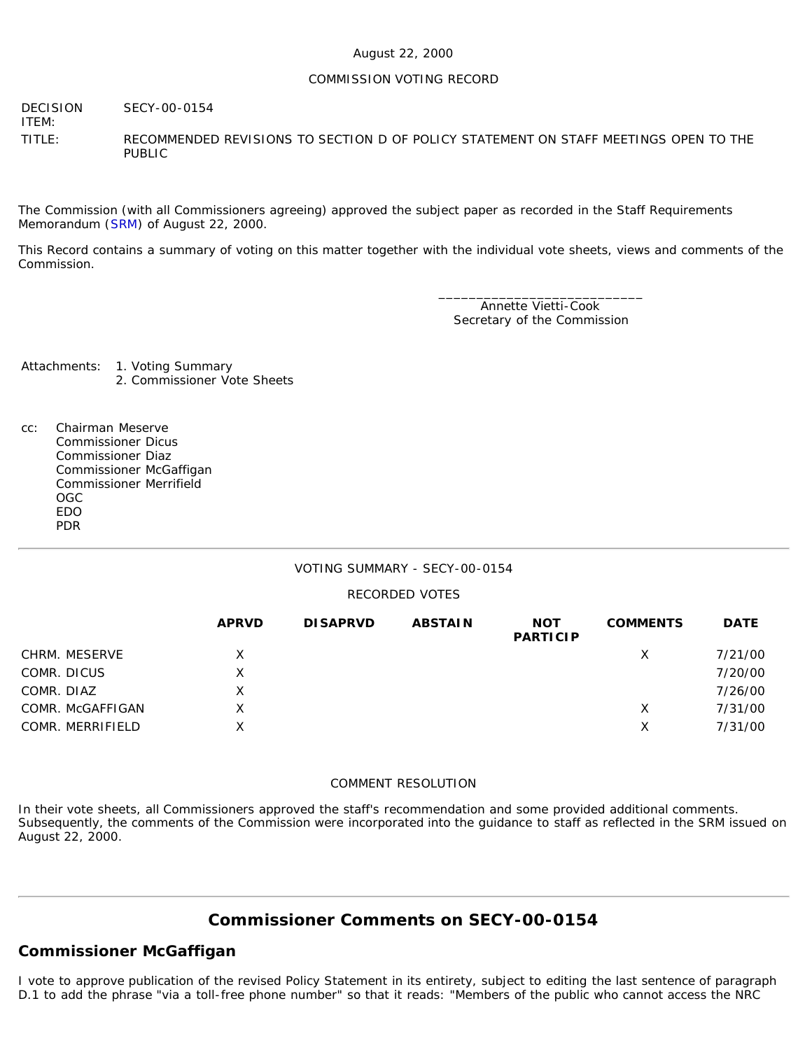### August 22, 2000

#### COMMISSION VOTING RECORD

DECISION SECY-00-0154

ITEM:

TITLE: RECOMMENDED REVISIONS TO SECTION D OF POLICY STATEMENT ON STAFF MEETINGS OPEN TO THE PUBLIC

The Commission (with all Commissioners agreeing) approved the subject paper as recorded in the Staff Requirements Memorandum ([SRM\)](http://www.nrc.gov/reading-rm/doc-collections/commission/srm/2000/2000-0154srm.html) of August 22, 2000.

This Record contains a summary of voting on this matter together with the individual vote sheets, views and comments of the Commission.

> \_\_\_\_\_\_\_\_\_\_\_\_\_\_\_\_\_\_\_\_\_\_\_\_\_\_\_ Annette Vietti-Cook Secretary of the Commission

Attachments: 1. Voting Summary 2. Commissioner Vote Sheets

cc: Chairman Meserve Commissioner Dicus Commissioner Diaz Commissioner McGaffigan Commissioner Merrifield OGC EDO PDR

## VOTING SUMMARY - SECY-00-0154

## RECORDED VOTES

|                  | <b>APRVD</b> | <b>DISAPRVD</b> | <b>ABSTAIN</b> | <b>NOT</b><br><b>PARTICIP</b> | <b>COMMENTS</b> | <b>DATE</b> |
|------------------|--------------|-----------------|----------------|-------------------------------|-----------------|-------------|
| CHRM. MESERVE    | X            |                 |                |                               | X               | 7/21/00     |
| COMR. DICUS      | X            |                 |                |                               |                 | 7/20/00     |
| COMR. DIAZ       | x            |                 |                |                               |                 | 7/26/00     |
| COMR. McGAFFIGAN | X.           |                 |                |                               | X               | 7/31/00     |
| COMR. MERRIFIELD | x            |                 |                |                               | х               | 7/31/00     |

#### COMMENT RESOLUTION

In their vote sheets, all Commissioners approved the staff's recommendation and some provided additional comments. Subsequently, the comments of the Commission were incorporated into the guidance to staff as reflected in the SRM issued on August 22, 2000.

# **Commissioner Comments on [SECY-00-0154](http://www.nrc.gov/reading-rm/doc-collections/commission/secys/2000/secy2000-0154/2000-0154scy.html)**

# **Commissioner McGaffigan**

I vote to approve publication of the revised Policy Statement in its entirety, subject to editing the last sentence of paragraph D.1 to add the phrase "via a toll-free phone number" so that it reads: "Members of the public who cannot access the NRC